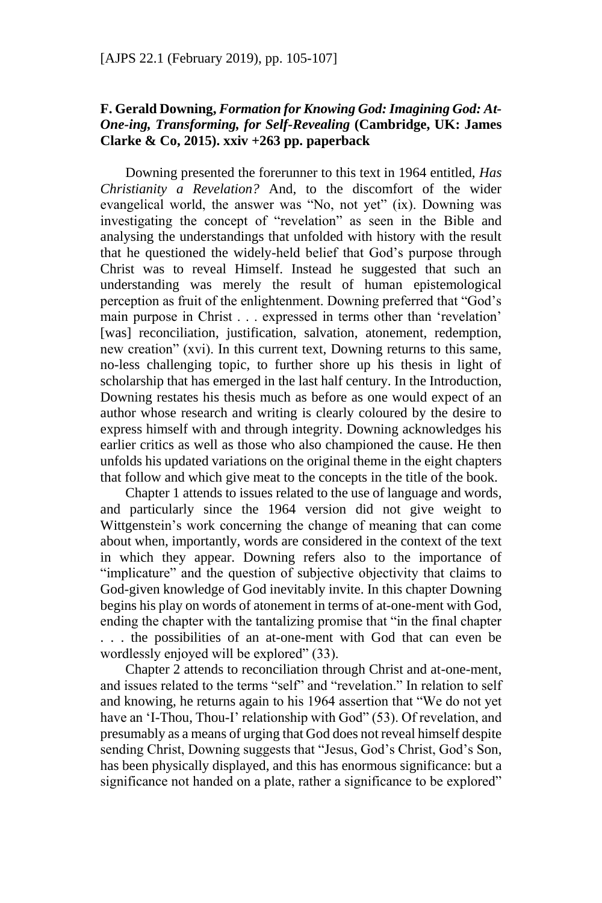## **F. Gerald Downing,** *Formation for Knowing God: Imagining God: At-One-ing, Transforming, for Self-Revealing* **(Cambridge, UK: James Clarke & Co, 2015). xxiv +263 pp. paperback**

Downing presented the forerunner to this text in 1964 entitled, *Has Christianity a Revelation?* And, to the discomfort of the wider evangelical world, the answer was "No, not yet" (ix). Downing was investigating the concept of "revelation" as seen in the Bible and analysing the understandings that unfolded with history with the result that he questioned the widely-held belief that God's purpose through Christ was to reveal Himself. Instead he suggested that such an understanding was merely the result of human epistemological perception as fruit of the enlightenment. Downing preferred that "God's main purpose in Christ . . . expressed in terms other than 'revelation' [was] reconciliation, justification, salvation, atonement, redemption, new creation" (xvi). In this current text, Downing returns to this same, no-less challenging topic, to further shore up his thesis in light of scholarship that has emerged in the last half century. In the Introduction, Downing restates his thesis much as before as one would expect of an author whose research and writing is clearly coloured by the desire to express himself with and through integrity. Downing acknowledges his earlier critics as well as those who also championed the cause. He then unfolds his updated variations on the original theme in the eight chapters that follow and which give meat to the concepts in the title of the book.

Chapter 1 attends to issues related to the use of language and words, and particularly since the 1964 version did not give weight to Wittgenstein's work concerning the change of meaning that can come about when, importantly, words are considered in the context of the text in which they appear. Downing refers also to the importance of "implicature" and the question of subjective objectivity that claims to God-given knowledge of God inevitably invite. In this chapter Downing begins his play on words of atonement in terms of at-one-ment with God, ending the chapter with the tantalizing promise that "in the final chapter . . . the possibilities of an at-one-ment with God that can even be wordlessly enjoyed will be explored" (33).

Chapter 2 attends to reconciliation through Christ and at-one-ment, and issues related to the terms "self" and "revelation." In relation to self and knowing, he returns again to his 1964 assertion that "We do not yet have an 'I-Thou, Thou-I' relationship with God" (53). Of revelation, and presumably as a means of urging that God does not reveal himself despite sending Christ, Downing suggests that "Jesus, God's Christ, God's Son, has been physically displayed, and this has enormous significance: but a significance not handed on a plate, rather a significance to be explored"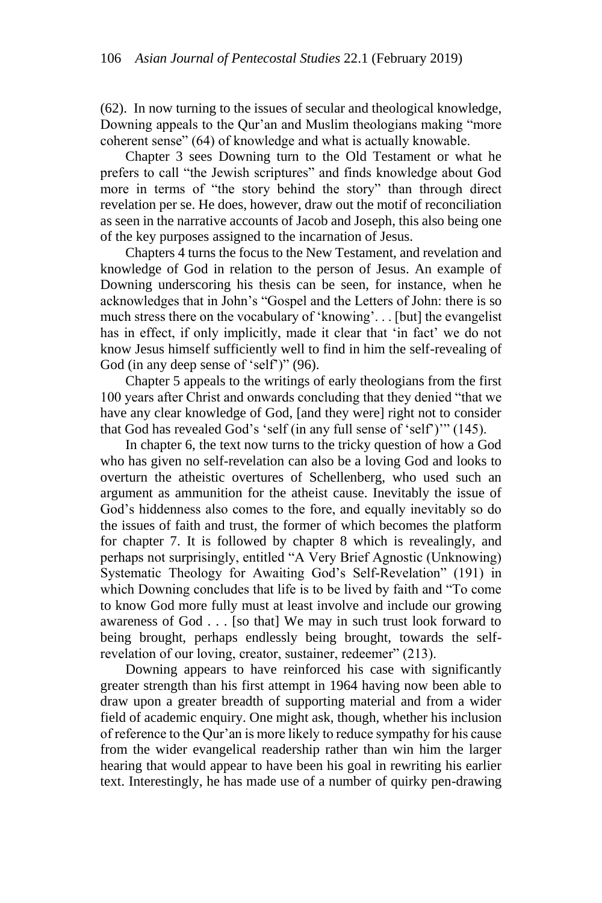(62). In now turning to the issues of secular and theological knowledge, Downing appeals to the Qur'an and Muslim theologians making "more coherent sense" (64) of knowledge and what is actually knowable.

Chapter 3 sees Downing turn to the Old Testament or what he prefers to call "the Jewish scriptures" and finds knowledge about God more in terms of "the story behind the story" than through direct revelation per se. He does, however, draw out the motif of reconciliation as seen in the narrative accounts of Jacob and Joseph, this also being one of the key purposes assigned to the incarnation of Jesus.

Chapters 4 turns the focus to the New Testament, and revelation and knowledge of God in relation to the person of Jesus. An example of Downing underscoring his thesis can be seen, for instance, when he acknowledges that in John's "Gospel and the Letters of John: there is so much stress there on the vocabulary of 'knowing'. . . [but] the evangelist has in effect, if only implicitly, made it clear that 'in fact' we do not know Jesus himself sufficiently well to find in him the self-revealing of God (in any deep sense of 'self')" (96).

Chapter 5 appeals to the writings of early theologians from the first 100 years after Christ and onwards concluding that they denied "that we have any clear knowledge of God, [and they were] right not to consider that God has revealed God's 'self (in any full sense of 'self')'" (145).

In chapter 6, the text now turns to the tricky question of how a God who has given no self-revelation can also be a loving God and looks to overturn the atheistic overtures of Schellenberg, who used such an argument as ammunition for the atheist cause. Inevitably the issue of God's hiddenness also comes to the fore, and equally inevitably so do the issues of faith and trust, the former of which becomes the platform for chapter 7. It is followed by chapter 8 which is revealingly, and perhaps not surprisingly, entitled "A Very Brief Agnostic (Unknowing) Systematic Theology for Awaiting God's Self-Revelation" (191) in which Downing concludes that life is to be lived by faith and "To come to know God more fully must at least involve and include our growing awareness of God . . . [so that] We may in such trust look forward to being brought, perhaps endlessly being brought, towards the selfrevelation of our loving, creator, sustainer, redeemer" (213).

Downing appears to have reinforced his case with significantly greater strength than his first attempt in 1964 having now been able to draw upon a greater breadth of supporting material and from a wider field of academic enquiry. One might ask, though, whether his inclusion of reference to the Qur'an is more likely to reduce sympathy for his cause from the wider evangelical readership rather than win him the larger hearing that would appear to have been his goal in rewriting his earlier text. Interestingly, he has made use of a number of quirky pen-drawing